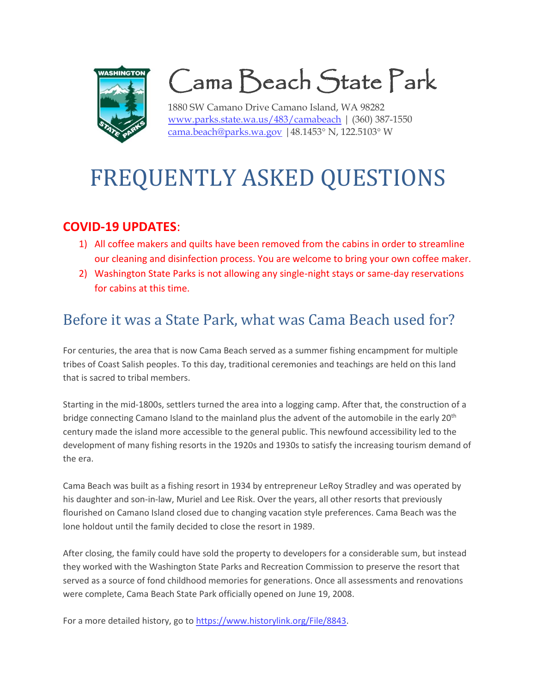

Cama Beach State Park

1880 SW Camano Drive Camano Island, WA 98282 [www.parks.state.wa.us/483/camabeach](http://www.parks.state.wa.us/483/camabeach) | (360) 387-1550 [cama.beach@parks.wa.gov](mailto:cama.beach@parks.wa.gov) |  $48.1453^{\circ}$  N,  $122.5103^{\circ}$  W

# FREQUENTLY ASKED QUESTIONS

#### **COVID-19 UPDATES**:

- 1) All coffee makers and quilts have been removed from the cabins in order to streamline our cleaning and disinfection process. You are welcome to bring your own coffee maker.
- 2) Washington State Parks is not allowing any single-night stays or same-day reservations for cabins at this time.

### Before it was a State Park, what was Cama Beach used for?

For centuries, the area that is now Cama Beach served as a summer fishing encampment for multiple tribes of Coast Salish peoples. To this day, traditional ceremonies and teachings are held on this land that is sacred to tribal members.

Starting in the mid-1800s, settlers turned the area into a logging camp. After that, the construction of a bridge connecting Camano Island to the mainland plus the advent of the automobile in the early 20<sup>th</sup> century made the island more accessible to the general public. This newfound accessibility led to the development of many fishing resorts in the 1920s and 1930s to satisfy the increasing tourism demand of the era.

Cama Beach was built as a fishing resort in 1934 by entrepreneur LeRoy Stradley and was operated by his daughter and son-in-law, Muriel and Lee Risk. Over the years, all other resorts that previously flourished on Camano Island closed due to changing vacation style preferences. Cama Beach was the lone holdout until the family decided to close the resort in 1989.

After closing, the family could have sold the property to developers for a considerable sum, but instead they worked with the Washington State Parks and Recreation Commission to preserve the resort that served as a source of fond childhood memories for generations. Once all assessments and renovations were complete, Cama Beach State Park officially opened on June 19, 2008.

For a more detailed history, go to [https://www.historylink.org/File/8843.](https://www.historylink.org/File/8843)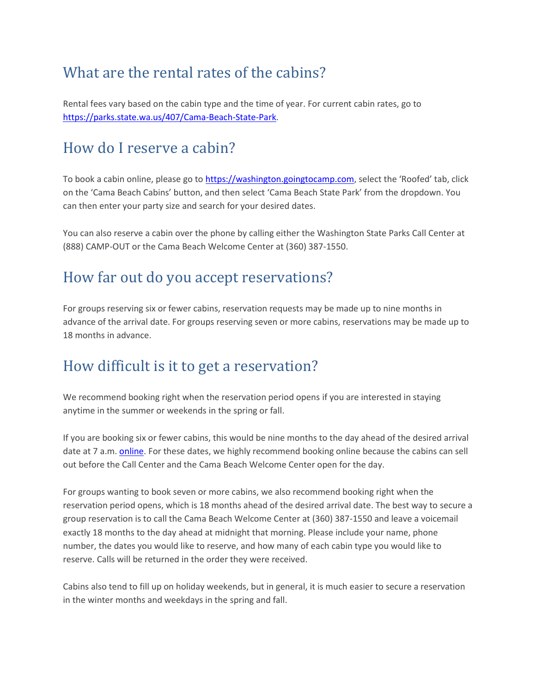# What are the rental rates of the cabins?

Rental fees vary based on the cabin type and the time of year. For current cabin rates, go to [https://parks.state.wa.us/407/Cama-Beach-State-Park.](https://parks.state.wa.us/407/Cama-Beach-State-Park)

### How do I reserve a cabin?

To book a cabin online, please go t[o https://washington.goingtocamp.com](https://washington.goingtocamp.com/), select the 'Roofed' tab, click on the 'Cama Beach Cabins' button, and then select 'Cama Beach State Park' from the dropdown. You can then enter your party size and search for your desired dates.

You can also reserve a cabin over the phone by calling either the Washington State Parks Call Center at (888) CAMP-OUT or the Cama Beach Welcome Center at (360) 387-1550.

#### How far out do you accept reservations?

For groups reserving six or fewer cabins, reservation requests may be made up to nine months in advance of the arrival date. For groups reserving seven or more cabins, reservations may be made up to 18 months in advance.

# How difficult is it to get a reservation?

We recommend booking right when the reservation period opens if you are interested in staying anytime in the summer or weekends in the spring or fall.

If you are booking six or fewer cabins, this would be nine months to the day ahead of the desired arrival date at 7 a.m. [online.](https://washington.goingtocamp.com/) For these dates, we highly recommend booking online because the cabins can sell out before the Call Center and the Cama Beach Welcome Center open for the day.

For groups wanting to book seven or more cabins, we also recommend booking right when the reservation period opens, which is 18 months ahead of the desired arrival date. The best way to secure a group reservation is to call the Cama Beach Welcome Center at (360) 387-1550 and leave a voicemail exactly 18 months to the day ahead at midnight that morning. Please include your name, phone number, the dates you would like to reserve, and how many of each cabin type you would like to reserve. Calls will be returned in the order they were received.

Cabins also tend to fill up on holiday weekends, but in general, it is much easier to secure a reservation in the winter months and weekdays in the spring and fall.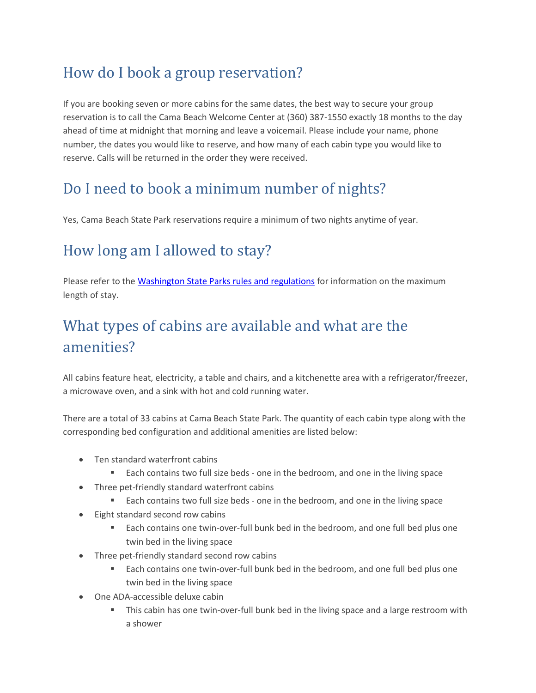# How do I book a group reservation?

If you are booking seven or more cabins for the same dates, the best way to secure your group reservation is to call the Cama Beach Welcome Center at (360) 387-1550 exactly 18 months to the day ahead of time at midnight that morning and leave a voicemail. Please include your name, phone number, the dates you would like to reserve, and how many of each cabin type you would like to reserve. Calls will be returned in the order they were received.

# Do I need to book a minimum number of nights?

Yes, Cama Beach State Park reservations require a minimum of two nights anytime of year.

# How long am I allowed to stay?

Please refer to the [Washington State Parks rules and regulations](https://parks.state.wa.us/179/Rules-regulations) for information on the maximum length of stay.

# What types of cabins are available and what are the amenities?

All cabins feature heat, electricity, a table and chairs, and a kitchenette area with a refrigerator/freezer, a microwave oven, and a sink with hot and cold running water.

There are a total of 33 cabins at Cama Beach State Park. The quantity of each cabin type along with the corresponding bed configuration and additional amenities are listed below:

- Ten standard waterfront cabins
	- Each contains two full size beds one in the bedroom, and one in the living space
- Three pet-friendly standard waterfront cabins
	- Each contains two full size beds one in the bedroom, and one in the living space
- Eight standard second row cabins
	- Each contains one twin-over-full bunk bed in the bedroom, and one full bed plus one twin bed in the living space
- Three pet-friendly standard second row cabins
	- Each contains one twin-over-full bunk bed in the bedroom, and one full bed plus one twin bed in the living space
- One ADA-accessible deluxe cabin
	- This cabin has one twin-over-full bunk bed in the living space and a large restroom with a shower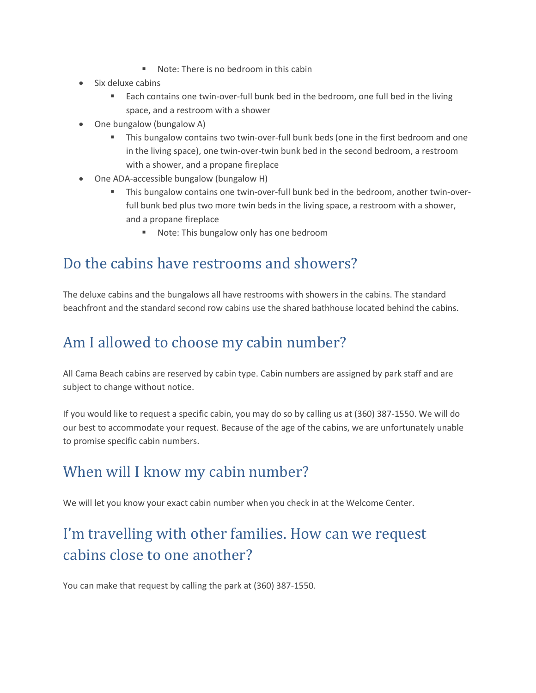- Note: There is no bedroom in this cabin
- Six deluxe cabins
	- Each contains one twin-over-full bunk bed in the bedroom, one full bed in the living space, and a restroom with a shower
- One bungalow (bungalow A)
	- This bungalow contains two twin-over-full bunk beds (one in the first bedroom and one in the living space), one twin-over-twin bunk bed in the second bedroom, a restroom with a shower, and a propane fireplace
- One ADA-accessible bungalow (bungalow H)
	- This bungalow contains one twin-over-full bunk bed in the bedroom, another twin-overfull bunk bed plus two more twin beds in the living space, a restroom with a shower, and a propane fireplace
		- Note: This bungalow only has one bedroom

### Do the cabins have restrooms and showers?

The deluxe cabins and the bungalows all have restrooms with showers in the cabins. The standard beachfront and the standard second row cabins use the shared bathhouse located behind the cabins.

# Am I allowed to choose my cabin number?

All Cama Beach cabins are reserved by cabin type. Cabin numbers are assigned by park staff and are subject to change without notice.

If you would like to request a specific cabin, you may do so by calling us at (360) 387-1550. We will do our best to accommodate your request. Because of the age of the cabins, we are unfortunately unable to promise specific cabin numbers.

### When will I know my cabin number?

We will let you know your exact cabin number when you check in at the Welcome Center.

# I'm travelling with other families. How can we request cabins close to one another?

You can make that request by calling the park at (360) 387-1550.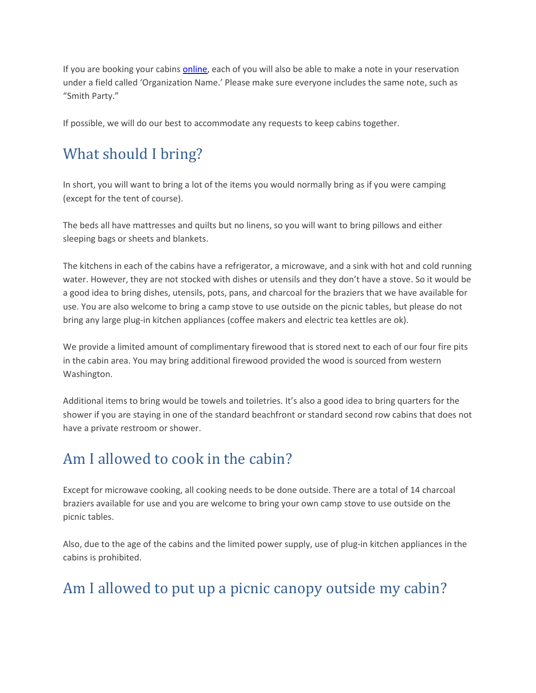If you are booking your cabin[s online,](https://washington.goingtocamp.com/) each of you will also be able to make a note in your reservation under a field called 'Organization Name.' Please make sure everyone includes the same note, such as "Smith Party."

If possible, we will do our best to accommodate any requests to keep cabins together.

# What should I bring?

In short, you will want to bring a lot of the items you would normally bring as if you were camping (except for the tent of course).

The beds all have mattresses and quilts but no linens, so you will want to bring pillows and either sleeping bags or sheets and blankets.

The kitchens in each of the cabins have a refrigerator, a microwave, and a sink with hot and cold running water. However, they are not stocked with dishes or utensils and they don't have a stove. So it would be a good idea to bring dishes, utensils, pots, pans, and charcoal for the braziers that we have available for use. You are also welcome to bring a camp stove to use outside on the picnic tables, but please do not bring any large plug-in kitchen appliances (coffee makers and electric tea kettles are ok).

We provide a limited amount of complimentary firewood that is stored next to each of our four fire pits in the cabin area. You may bring additional firewood provided the wood is sourced from western Washington.

Additional items to bring would be towels and toiletries. It's also a good idea to bring quarters for the shower if you are staying in one of the standard beachfront or standard second row cabins that does not have a private restroom or shower.

### Am I allowed to cook in the cabin?

Except for microwave cooking, all cooking needs to be done outside. There are a total of 14 charcoal braziers available for use and you are welcome to bring your own camp stove to use outside on the picnic tables.

Also, due to the age of the cabins and the limited power supply, use of plug-in kitchen appliances in the cabins is prohibited.

# Am I allowed to put up a picnic canopy outside my cabin?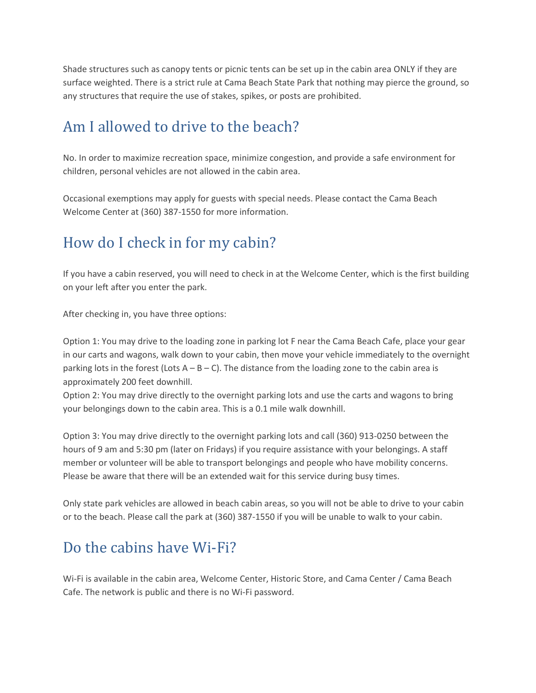Shade structures such as canopy tents or picnic tents can be set up in the cabin area ONLY if they are surface weighted. There is a strict rule at Cama Beach State Park that nothing may pierce the ground, so any structures that require the use of stakes, spikes, or posts are prohibited.

### Am I allowed to drive to the beach?

No. In order to maximize recreation space, minimize congestion, and provide a safe environment for children, personal vehicles are not allowed in the cabin area.

Occasional exemptions may apply for guests with special needs. Please contact the Cama Beach Welcome Center at (360) 387-1550 for more information.

# How do I check in for my cabin?

If you have a cabin reserved, you will need to check in at the Welcome Center, which is the first building on your left after you enter the park.

After checking in, you have three options:

Option 1: You may drive to the loading zone in parking lot F near the Cama Beach Cafe, place your gear in our carts and wagons, walk down to your cabin, then move your vehicle immediately to the overnight parking lots in the forest (Lots  $A - B - C$ ). The distance from the loading zone to the cabin area is approximately 200 feet downhill.

Option 2: You may drive directly to the overnight parking lots and use the carts and wagons to bring your belongings down to the cabin area. This is a 0.1 mile walk downhill.

Option 3: You may drive directly to the overnight parking lots and call (360) 913-0250 between the hours of 9 am and 5:30 pm (later on Fridays) if you require assistance with your belongings. A staff member or volunteer will be able to transport belongings and people who have mobility concerns. Please be aware that there will be an extended wait for this service during busy times.

Only state park vehicles are allowed in beach cabin areas, so you will not be able to drive to your cabin or to the beach. Please call the park at (360) 387-1550 if you will be unable to walk to your cabin.

# Do the cabins have Wi-Fi?

Wi-Fi is available in the cabin area, Welcome Center, Historic Store, and Cama Center / Cama Beach Cafe. The network is public and there is no Wi-Fi password.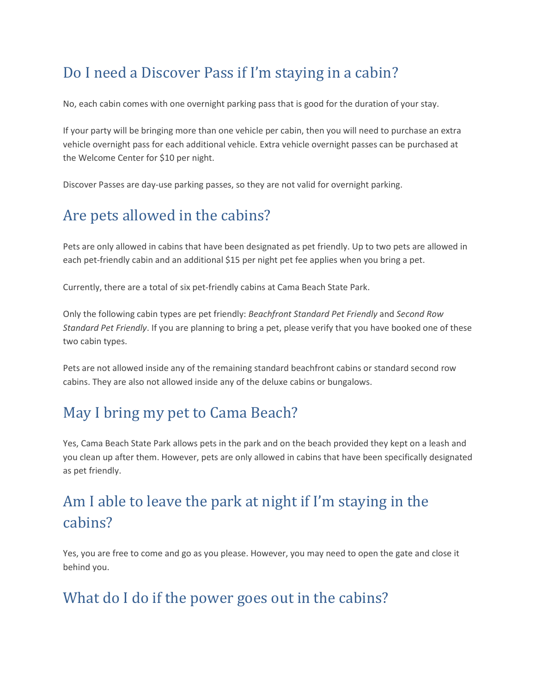# Do I need a Discover Pass if I'm staying in a cabin?

No, each cabin comes with one overnight parking pass that is good for the duration of your stay.

If your party will be bringing more than one vehicle per cabin, then you will need to purchase an extra vehicle overnight pass for each additional vehicle. Extra vehicle overnight passes can be purchased at the Welcome Center for \$10 per night.

Discover Passes are day-use parking passes, so they are not valid for overnight parking.

# Are pets allowed in the cabins?

Pets are only allowed in cabins that have been designated as pet friendly. Up to two pets are allowed in each pet-friendly cabin and an additional \$15 per night pet fee applies when you bring a pet.

Currently, there are a total of six pet-friendly cabins at Cama Beach State Park.

Only the following cabin types are pet friendly: *Beachfront Standard Pet Friendly* and *Second Row Standard Pet Friendly*. If you are planning to bring a pet, please verify that you have booked one of these two cabin types.

Pets are not allowed inside any of the remaining standard beachfront cabins or standard second row cabins. They are also not allowed inside any of the deluxe cabins or bungalows.

### May I bring my pet to Cama Beach?

Yes, Cama Beach State Park allows pets in the park and on the beach provided they kept on a leash and you clean up after them. However, pets are only allowed in cabins that have been specifically designated as pet friendly.

# Am I able to leave the park at night if I'm staying in the cabins?

Yes, you are free to come and go as you please. However, you may need to open the gate and close it behind you.

### What do I do if the power goes out in the cabins?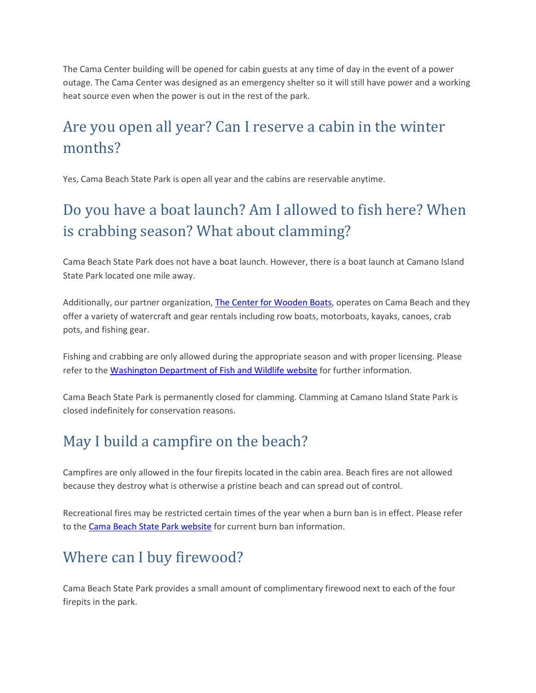The Cama Center building will be opened for cabin guests at any time of day in the event of a power outage. The Cama Center was designed as an emergency shelter so it will still have power and a working heat source even when the power is out in the rest of the park.

# Are you open all year? Can I reserve a cabin in the winter months?

Yes, Cama Beach State Park is open all year and the cabins are reservable anytime.

# Do you have a boat launch? Am I allowed to fish here? When is crabbing season? What about clamming?

Cama Beach State Park does not have a boat launch. However, there is a boat launch at Camano Island State Park located one mile away.

Additionally, our partner organization, [The Center for Wooden Boats,](https://www.cwb.org/cama-todo) operates on Cama Beach and they offer a variety of watercraft and gear rentals including row boats, motorboats, kayaks, canoes, crab pots, and fishing gear.

Fishing and crabbing are only allowed during the appropriate season and with proper licensing. Please refer to the [Washington Department of Fish and Wildlife website](https://wdfw.wa.gov/) for further information.

Cama Beach State Park is permanently closed for clamming. Clamming at Camano Island State Park is closed indefinitely for conservation reasons.

# May I build a campfire on the beach?

Campfires are only allowed in the four firepits located in the cabin area. Beach fires are not allowed because they destroy what is otherwise a pristine beach and can spread out of control.

Recreational fires may be restricted certain times of the year when a burn ban is in effect. Please refer to th[e Cama Beach State Park website](https://parks.state.wa.us/483/Cama-Beach) for current burn ban information.

# Where can I buy firewood?

Cama Beach State Park provides a small amount of complimentary firewood next to each of the four firepits in the park.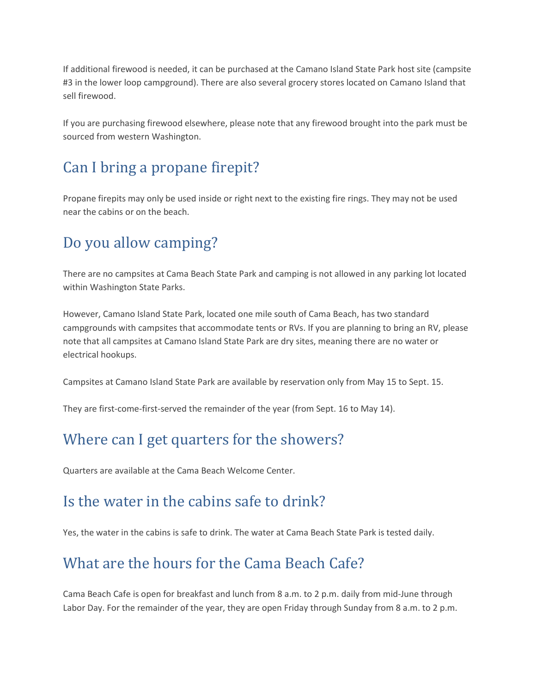If additional firewood is needed, it can be purchased at the Camano Island State Park host site (campsite #3 in the lower loop campground). There are also several grocery stores located on Camano Island that sell firewood.

If you are purchasing firewood elsewhere, please note that any firewood brought into the park must be sourced from western Washington.

# Can I bring a propane firepit?

Propane firepits may only be used inside or right next to the existing fire rings. They may not be used near the cabins or on the beach.

# Do you allow camping?

There are no campsites at Cama Beach State Park and camping is not allowed in any parking lot located within Washington State Parks.

However, Camano Island State Park, located one mile south of Cama Beach, has two standard campgrounds with campsites that accommodate tents or RVs. If you are planning to bring an RV, please note that all campsites at Camano Island State Park are dry sites, meaning there are no water or electrical hookups.

Campsites at Camano Island State Park are available by reservation only from May 15 to Sept. 15.

They are first-come-first-served the remainder of the year (from Sept. 16 to May 14).

### Where can I get quarters for the showers?

Quarters are available at the Cama Beach Welcome Center.

#### Is the water in the cabins safe to drink?

Yes, the water in the cabins is safe to drink. The water at Cama Beach State Park is tested daily.

# What are the hours for the Cama Beach Cafe?

Cama Beach Cafe is open for breakfast and lunch from 8 a.m. to 2 p.m. daily from mid-June through Labor Day. For the remainder of the year, they are open Friday through Sunday from 8 a.m. to 2 p.m.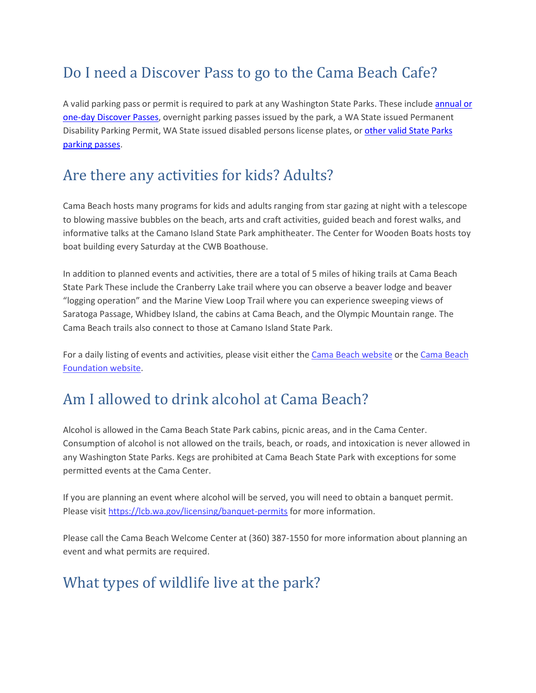# Do I need a Discover Pass to go to the Cama Beach Cafe?

A valid parking pass or permit is required to park at any Washington State Parks. These include annual or one-day [Discover Passes,](https://parks.state.wa.us/167/Discover-Pass) overnight parking passes issued by the park, a WA State issued Permanent Disability Parking Permit, WA State issued disabled persons license plates, o[r other valid](https://www.parks.state.wa.us/205/Passes) State Parks [parking passes.](https://www.parks.state.wa.us/205/Passes)

### Are there any activities for kids? Adults?

Cama Beach hosts many programs for kids and adults ranging from star gazing at night with a telescope to blowing massive bubbles on the beach, arts and craft activities, guided beach and forest walks, and informative talks at the Camano Island State Park amphitheater. The Center for Wooden Boats hosts toy boat building every Saturday at the CWB Boathouse.

In addition to planned events and activities, there are a total of 5 miles of hiking trails at Cama Beach State Park These include the Cranberry Lake trail where you can observe a beaver lodge and beaver "logging operation" and the Marine View Loop Trail where you can experience sweeping views of Saratoga Passage, Whidbey Island, the cabins at Cama Beach, and the Olympic Mountain range. The Cama Beach trails also connect to those at Camano Island State Park.

For a daily listing of events and activities, please visit either the [Cama Beach website](https://parks.state.wa.us/483/Cama-Beach) or th[e Cama Beach](http://www.camabeachfoundation.org/)  [Foundation website.](http://www.camabeachfoundation.org/)

# Am I allowed to drink alcohol at Cama Beach?

Alcohol is allowed in the Cama Beach State Park cabins, picnic areas, and in the Cama Center. Consumption of alcohol is not allowed on the trails, beach, or roads, and intoxication is never allowed in any Washington State Parks. Kegs are prohibited at Cama Beach State Park with exceptions for some permitted events at the Cama Center.

If you are planning an event where alcohol will be served, you will need to obtain a banquet permit. Please visit <https://lcb.wa.gov/licensing/banquet-permits> for more information.

Please call the Cama Beach Welcome Center at (360) 387-1550 for more information about planning an event and what permits are required.

# What types of wildlife live at the park?